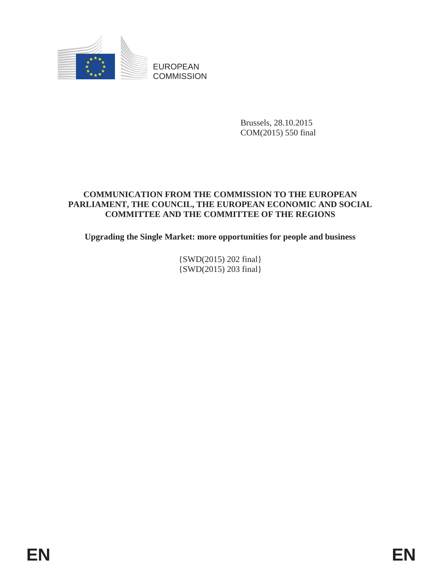

Brussels, 28.10.2015 COM(2015) 550 final

# **COMMUNICATION FROM THE COMMISSION TO THE EUROPEAN PARLIAMENT, THE COUNCIL, THE EUROPEAN ECONOMIC AND SOCIAL COMMITTEE AND THE COMMITTEE OF THE REGIONS**

**Upgrading the Single Market: more opportunities for people and business** 

{SWD(2015) 202 final} {SWD(2015) 203 final}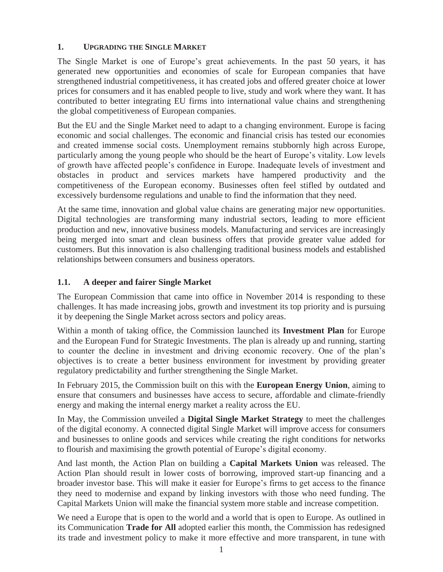# **1. UPGRADING THE SINGLE MARKET**

The Single Market is one of Europe's great achievements. In the past 50 years, it has generated new opportunities and economies of scale for European companies that have strengthened industrial competitiveness, it has created jobs and offered greater choice at lower prices for consumers and it has enabled people to live, study and work where they want. It has contributed to better integrating EU firms into international value chains and strengthening the global competitiveness of European companies.

But the EU and the Single Market need to adapt to a changing environment. Europe is facing economic and social challenges. The economic and financial crisis has tested our economies and created immense social costs. Unemployment remains stubbornly high across Europe, particularly among the young people who should be the heart of Europe's vitality. Low levels of growth have affected people's confidence in Europe. Inadequate levels of investment and obstacles in product and services markets have hampered productivity and the competitiveness of the European economy. Businesses often feel stifled by outdated and excessively burdensome regulations and unable to find the information that they need.

At the same time, innovation and global value chains are generating major new opportunities. Digital technologies are transforming many industrial sectors, leading to more efficient production and new, innovative business models. Manufacturing and services are increasingly being merged into smart and clean business offers that provide greater value added for customers. But this innovation is also challenging traditional business models and established relationships between consumers and business operators.

# **1.1. A deeper and fairer Single Market**

The European Commission that came into office in November 2014 is responding to these challenges. It has made increasing jobs, growth and investment its top priority and is pursuing it by deepening the Single Market across sectors and policy areas.

Within a month of taking office, the Commission launched its **Investment Plan** for Europe and the European Fund for Strategic Investments. The plan is already up and running, starting to counter the decline in investment and driving economic recovery. One of the plan's objectives is to create a better business environment for investment by providing greater regulatory predictability and further strengthening the Single Market.

In February 2015, the Commission built on this with the **European Energy Union**, aiming to ensure that consumers and businesses have access to secure, affordable and climate-friendly energy and making the internal energy market a reality across the EU.

In May, the Commission unveiled a **Digital Single Market Strategy** to meet the challenges of the digital economy. A connected digital Single Market will improve access for consumers and businesses to online goods and services while creating the right conditions for networks to flourish and maximising the growth potential of Europe's digital economy.

And last month, the Action Plan on building a **Capital Markets Union** was released. The Action Plan should result in lower costs of borrowing, improved start-up financing and a broader investor base. This will make it easier for Europe's firms to get access to the finance they need to modernise and expand by linking investors with those who need funding. The Capital Markets Union will make the financial system more stable and increase competition.

We need a Europe that is open to the world and a world that is open to Europe. As outlined in its Communication **Trade for All** adopted earlier this month, the Commission has redesigned its trade and investment policy to make it more effective and more transparent, in tune with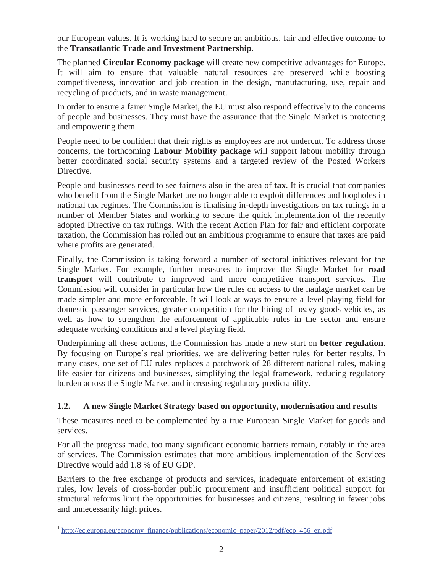our European values. It is working hard to secure an ambitious, fair and effective outcome to the **Transatlantic Trade and Investment Partnership**.

The planned **Circular Economy package** will create new competitive advantages for Europe. It will aim to ensure that valuable natural resources are preserved while boosting competitiveness, innovation and job creation in the design, manufacturing, use, repair and recycling of products, and in waste management.

In order to ensure a fairer Single Market, the EU must also respond effectively to the concerns of people and businesses. They must have the assurance that the Single Market is protecting and empowering them.

People need to be confident that their rights as employees are not undercut. To address those concerns, the forthcoming **Labour Mobility package** will support labour mobility through better coordinated social security systems and a targeted review of the Posted Workers Directive.

People and businesses need to see fairness also in the area of **tax**. It is crucial that companies who benefit from the Single Market are no longer able to exploit differences and loopholes in national tax regimes. The Commission is finalising in-depth investigations on tax rulings in a number of Member States and working to secure the quick implementation of the recently adopted Directive on tax rulings. With the recent Action Plan for fair and efficient corporate taxation, the Commission has rolled out an ambitious programme to ensure that taxes are paid where profits are generated.

Finally, the Commission is taking forward a number of sectoral initiatives relevant for the Single Market. For example, further measures to improve the Single Market for **road transport** will contribute to improved and more competitive transport services. The Commission will consider in particular how the rules on access to the haulage market can be made simpler and more enforceable. It will look at ways to ensure a level playing field for domestic passenger services, greater competition for the hiring of heavy goods vehicles, as well as how to strengthen the enforcement of applicable rules in the sector and ensure adequate working conditions and a level playing field.

Underpinning all these actions, the Commission has made a new start on **better regulation**. By focusing on Europe's real priorities, we are delivering better rules for better results. In many cases, one set of EU rules replaces a patchwork of 28 different national rules, making life easier for citizens and businesses, simplifying the legal framework, reducing regulatory burden across the Single Market and increasing regulatory predictability.

### **1.2. A new Single Market Strategy based on opportunity, modernisation and results**

These measures need to be complemented by a true European Single Market for goods and services.

For all the progress made, too many significant economic barriers remain, notably in the area of services. The Commission estimates that more ambitious implementation of the Services Directive would add 1.8 % of EU GDP. $<sup>1</sup>$ </sup>

Barriers to the free exchange of products and services, inadequate enforcement of existing rules, low levels of cross-border public procurement and insufficient political support for structural reforms limit the opportunities for businesses and citizens, resulting in fewer jobs and unnecessarily high prices.

 $\overline{a}$ 

<sup>&</sup>lt;sup>1</sup> http://ec.europa.eu/economy\_finance/publications/economic\_paper/2012/pdf/ecp\_456\_en.pdf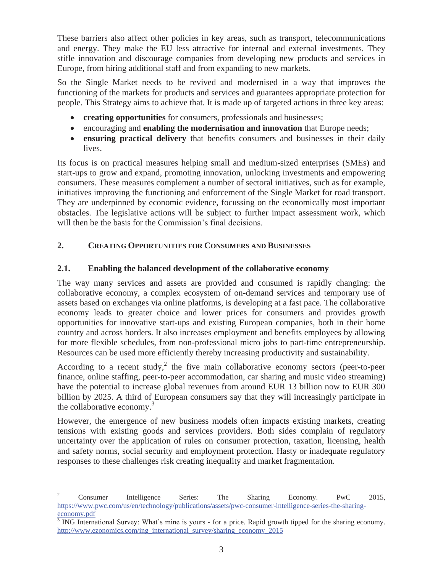These barriers also affect other policies in key areas, such as transport, telecommunications and energy. They make the EU less attractive for internal and external investments. They stifle innovation and discourage companies from developing new products and services in Europe, from hiring additional staff and from expanding to new markets.

So the Single Market needs to be revived and modernised in a way that improves the functioning of the markets for products and services and guarantees appropriate protection for people. This Strategy aims to achieve that. It is made up of targeted actions in three key areas:

- x **creating opportunities** for consumers, professionals and businesses;
- **•** encouraging and **enabling the modernisation and innovation** that Europe needs;
- **ensuring practical delivery** that benefits consumers and businesses in their daily lives.

Its focus is on practical measures helping small and medium-sized enterprises (SMEs) and start-ups to grow and expand, promoting innovation, unlocking investments and empowering consumers. These measures complement a number of sectoral initiatives, such as for example, initiatives improving the functioning and enforcement of the Single Market for road transport. They are underpinned by economic evidence, focussing on the economically most important obstacles. The legislative actions will be subject to further impact assessment work, which will then be the basis for the Commission's final decisions.

# **2. CREATING OPPORTUNITIES FOR CONSUMERS AND BUSINESSES**

### **2.1. Enabling the balanced development of the collaborative economy**

The way many services and assets are provided and consumed is rapidly changing: the collaborative economy, a complex ecosystem of on-demand services and temporary use of assets based on exchanges via online platforms, is developing at a fast pace. The collaborative economy leads to greater choice and lower prices for consumers and provides growth opportunities for innovative start-ups and existing European companies, both in their home country and across borders. It also increases employment and benefits employees by allowing for more flexible schedules, from non-professional micro jobs to part-time entrepreneurship. Resources can be used more efficiently thereby increasing productivity and sustainability.

According to a recent study,<sup>2</sup> the five main collaborative economy sectors (peer-to-peer finance, online staffing, peer-to-peer accommodation, car sharing and music video streaming) have the potential to increase global revenues from around EUR 13 billion now to EUR 300 billion by 2025. A third of European consumers say that they will increasingly participate in the collaborative economy.<sup>3</sup>

However, the emergence of new business models often impacts existing markets, creating tensions with existing goods and services providers. Both sides complain of regulatory uncertainty over the application of rules on consumer protection, taxation, licensing, health and safety norms, social security and employment protection. Hasty or inadequate regulatory responses to these challenges risk creating inequality and market fragmentation.

 $\frac{1}{2}$  Consumer Intelligence Series: The Sharing Economy. PwC 2015, https://www.pwc.com/us/en/technology/publications/assets/pwc-consumer-intelligence-series-the-sharing-

economy.pdf<br><sup>3</sup> ING International Survey: What's mine is yours - for a price. Rapid growth tipped for the sharing economy. http://www.ezonomics.com/ing\_international\_survey/sharing\_economy\_2015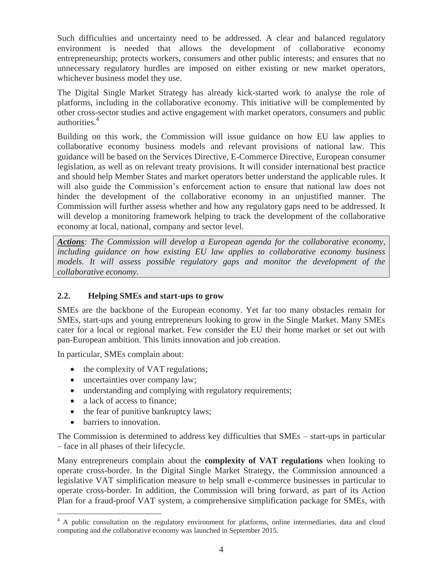Such difficulties and uncertainty need to be addressed. A clear and balanced regulatory environment is needed that allows the development of collaborative economy entrepreneurship; protects workers, consumers and other public interests; and ensures that no unnecessary regulatory hurdles are imposed on either existing or new market operators, whichever business model they use.

The Digital Single Market Strategy has already kick-started work to analyse the role of platforms, including in the collaborative economy. This initiative will be complemented by other cross-sector studies and active engagement with market operators, consumers and public authorities.<sup>4</sup>

Building on this work, the Commission will issue guidance on how EU law applies to collaborative economy business models and relevant provisions of national law. This guidance will be based on the Services Directive, E-Commerce Directive, European consumer legislation, as well as on relevant treaty provisions. It will consider international best practice and should help Member States and market operators better understand the applicable rules. It will also guide the Commission's enforcement action to ensure that national law does not hinder the development of the collaborative economy in an unjustified manner. The Commission will further assess whether and how any regulatory gaps need to be addressed. It will develop a monitoring framework helping to track the development of the collaborative economy at local, national, company and sector level.

*Actions: The Commission will develop a European agenda for the collaborative economy, including guidance on how existing EU law applies to collaborative economy business models. It will assess possible regulatory gaps and monitor the development of the collaborative economy.* 

### **2.2. Helping SMEs and start-ups to grow**

SMEs are the backbone of the European economy. Yet far too many obstacles remain for SMEs, start-ups and young entrepreneurs looking to grow in the Single Market. Many SMEs cater for a local or regional market. Few consider the EU their home market or set out with pan-European ambition. This limits innovation and job creation.

In particular, SMEs complain about:

- the complexity of VAT regulations;
- uncertainties over company law;
- understanding and complying with regulatory requirements;
- a lack of access to finance;
- $\bullet$  the fear of punitive bankruptcy laws;
- barriers to innovation.

The Commission is determined to address key difficulties that SMEs – start-ups in particular – face in all phases of their lifecycle.

Many entrepreneurs complain about the **complexity of VAT regulations** when looking to operate cross-border. In the Digital Single Market Strategy, the Commission announced a legislative VAT simplification measure to help small e-commerce businesses in particular to operate cross-border. In addition, the Commission will bring forward, as part of its Action Plan for a fraud-proof VAT system, a comprehensive simplification package for SMEs, with

<sup>&</sup>lt;sup>4</sup> A public consultation on the regulatory environment for platforms, online intermediaries, data and cloud computing and the collaborative economy was launched in September 2015.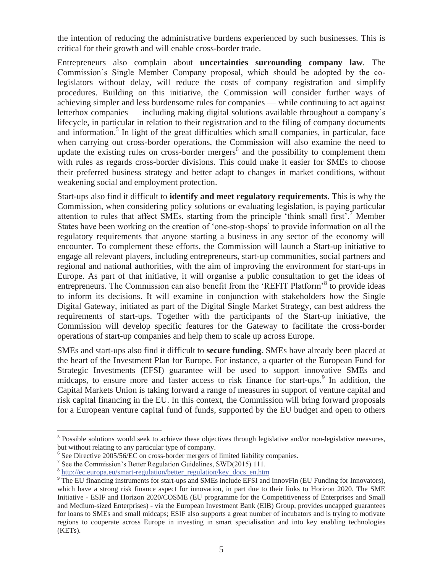the intention of reducing the administrative burdens experienced by such businesses. This is critical for their growth and will enable cross-border trade.

Entrepreneurs also complain about **uncertainties surrounding company law**. The Commission's Single Member Company proposal, which should be adopted by the colegislators without delay, will reduce the costs of company registration and simplify procedures. Building on this initiative, the Commission will consider further ways of achieving simpler and less burdensome rules for companies — while continuing to act against letterbox companies — including making digital solutions available throughout a company's lifecycle, in particular in relation to their registration and to the filing of company documents and information.<sup>5</sup> In light of the great difficulties which small companies, in particular, face when carrying out cross-border operations, the Commission will also examine the need to update the existing rules on cross-border mergers<sup>6</sup> and the possibility to complement them with rules as regards cross-border divisions. This could make it easier for SMEs to choose their preferred business strategy and better adapt to changes in market conditions, without weakening social and employment protection.

Start-ups also find it difficult to **identify and meet regulatory requirements**. This is why the Commission, when considering policy solutions or evaluating legislation, is paying particular attention to rules that affect SMEs, starting from the principle 'think small first'.<sup>7</sup> Member States have been working on the creation of 'one-stop-shops' to provide information on all the regulatory requirements that anyone starting a business in any sector of the economy will encounter. To complement these efforts, the Commission will launch a Start-up initiative to engage all relevant players, including entrepreneurs, start-up communities, social partners and regional and national authorities, with the aim of improving the environment for start-ups in Europe. As part of that initiative, it will organise a public consultation to get the ideas of entrepreneurs. The Commission can also benefit from the 'REFIT Platform'<sup>8</sup> to provide ideas to inform its decisions. It will examine in conjunction with stakeholders how the Single Digital Gateway, initiated as part of the Digital Single Market Strategy, can best address the requirements of start-ups. Together with the participants of the Start-up initiative, the Commission will develop specific features for the Gateway to facilitate the cross-border operations of start-up companies and help them to scale up across Europe.

SMEs and start-ups also find it difficult to **secure funding**. SMEs have already been placed at the heart of the Investment Plan for Europe. For instance, a quarter of the European Fund for Strategic Investments (EFSI) guarantee will be used to support innovative SMEs and midcaps, to ensure more and faster access to risk finance for start-ups.<sup>9</sup> In addition, the Capital Markets Union is taking forward a range of measures in support of venture capital and risk capital financing in the EU. In this context, the Commission will bring forward proposals for a European venture capital fund of funds, supported by the EU budget and open to others

 $\overline{a}$ 

 $<sup>5</sup>$  Possible solutions would seek to achieve these objectives through legislative and/or non-legislative measures,</sup> but without relating to any particular type of company.<br><sup>6</sup> See Directive 2005/56/EC on cross-border mergers of limited liability companies.

See the Commission's Better Regulation Guidelines, SWD(2015) 111.<br><sup>8</sup> http://ec.europa.eu/smart-regulation/better\_regulation/key\_docs\_en.htm

 $\overline{P}$  The EU financing instruments for start-ups and SMEs include EFSI and InnovFin (EU Funding for Innovators), which have a strong risk finance aspect for innovation, in part due to their links to Horizon 2020. The SME Initiative - ESIF and Horizon 2020/COSME (EU programme for the Competitiveness of Enterprises and Small and Medium-sized Enterprises) - via the European Investment Bank (EIB) Group, provides uncapped guarantees for loans to SMEs and small midcaps; ESIF also supports a great number of incubators and is trying to motivate regions to cooperate across Europe in investing in smart specialisation and into key enabling technologies (KETs).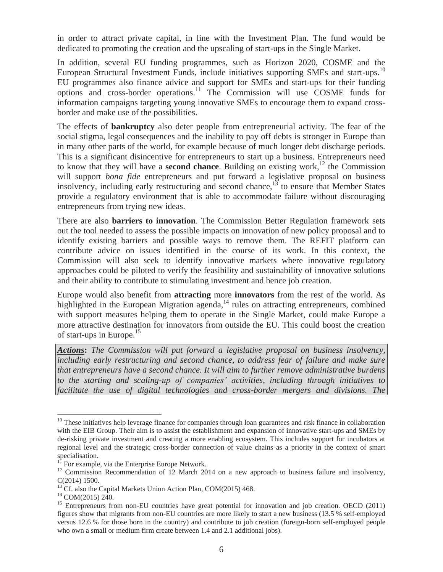in order to attract private capital, in line with the Investment Plan. The fund would be dedicated to promoting the creation and the upscaling of start-ups in the Single Market.

In addition, several EU funding programmes, such as Horizon 2020, COSME and the European Structural Investment Funds, include initiatives supporting SMEs and start-ups.<sup>10</sup> EU programmes also finance advice and support for SMEs and start-ups for their funding options and cross-border operations.11 The Commission will use COSME funds for information campaigns targeting young innovative SMEs to encourage them to expand crossborder and make use of the possibilities.

The effects of **bankruptcy** also deter people from entrepreneurial activity. The fear of the social stigma, legal consequences and the inability to pay off debts is stronger in Europe than in many other parts of the world, for example because of much longer debt discharge periods. This is a significant disincentive for entrepreneurs to start up a business. Entrepreneurs need to know that they will have a **second chance**. Building on existing work,<sup>12</sup> the Commission will support *bona fide* entrepreneurs and put forward a legislative proposal on business insolvency, including early restructuring and second chance, $13$  to ensure that Member States provide a regulatory environment that is able to accommodate failure without discouraging entrepreneurs from trying new ideas.

There are also **barriers to innovation**. The Commission Better Regulation framework sets out the tool needed to assess the possible impacts on innovation of new policy proposal and to identify existing barriers and possible ways to remove them. The REFIT platform can contribute advice on issues identified in the course of its work. In this context, the Commission will also seek to identify innovative markets where innovative regulatory approaches could be piloted to verify the feasibility and sustainability of innovative solutions and their ability to contribute to stimulating investment and hence job creation.

Europe would also benefit from **attracting** more **innovators** from the rest of the world. As highlighted in the European Migration agenda,<sup>14</sup> rules on attracting entrepreneurs, combined with support measures helping them to operate in the Single Market, could make Europe a more attractive destination for innovators from outside the EU. This could boost the creation of start-ups in Europe.<sup>15</sup>

*Actions***:** *The Commission will put forward a legislative proposal on business insolvency, including early restructuring and second chance, to address fear of failure and make sure that entrepreneurs have a second chance. It will aim to further remove administrative burdens to the starting and scaling-up of companies' activities, including through initiatives to facilitate the use of digital technologies and cross-border mergers and divisions. The* 

 $\overline{a}$ 

 $10$  These initiatives help leverage finance for companies through loan guarantees and risk finance in collaboration with the EIB Group. Their aim is to assist the establishment and expansion of innovative start-ups and SMEs by de-risking private investment and creating a more enabling ecosystem. This includes support for incubators at regional level and the strategic cross-border connection of value chains as a priority in the context of smart specialisation.

For example, via the Enterprise Europe Network.

<sup>&</sup>lt;sup>12</sup> Commission Recommendation of 12 March 2014 on a new approach to business failure and insolvency, C(2014) 1500.

<sup>&</sup>lt;sup>13</sup> Cf. also the Capital Markets Union Action Plan, COM(2015) 468.<br><sup>14</sup> COM(2015) 240.

<sup>&</sup>lt;sup>15</sup> Entrepreneurs from non-EU countries have great potential for innovation and job creation. OECD (2011) figures show that migrants from non-EU countries are more likely to start a new business (13.5 % self-employed versus 12.6 % for those born in the country) and contribute to job creation (foreign-born self-employed people who own a small or medium firm create between 1.4 and 2.1 additional jobs).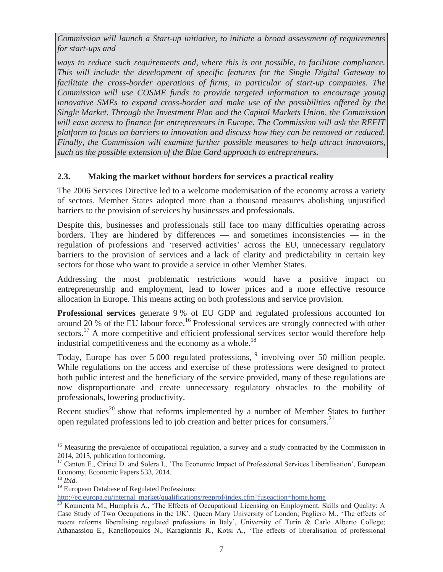*Commission will launch a Start-up initiative, to initiate a broad assessment of requirements for start-ups and* 

*ways to reduce such requirements and, where this is not possible, to facilitate compliance. This will include the development of specific features for the Single Digital Gateway to*  facilitate the cross-border operations of firms, in particular of start-up companies. The *Commission will use COSME funds to provide targeted information to encourage young innovative SMEs to expand cross-border and make use of the possibilities offered by the Single Market. Through the Investment Plan and the Capital Markets Union, the Commission will ease access to finance for entrepreneurs in Europe. The Commission will ask the REFIT platform to focus on barriers to innovation and discuss how they can be removed or reduced. Finally, the Commission will examine further possible measures to help attract innovators, such as the possible extension of the Blue Card approach to entrepreneurs.* 

### **2.3. Making the market without borders for services a practical reality**

The 2006 Services Directive led to a welcome modernisation of the economy across a variety of sectors. Member States adopted more than a thousand measures abolishing unjustified barriers to the provision of services by businesses and professionals.

Despite this, businesses and professionals still face too many difficulties operating across borders. They are hindered by differences — and sometimes inconsistencies — in the regulation of professions and 'reserved activities' across the EU, unnecessary regulatory barriers to the provision of services and a lack of clarity and predictability in certain key sectors for those who want to provide a service in other Member States.

Addressing the most problematic restrictions would have a positive impact on entrepreneurship and employment, lead to lower prices and a more effective resource allocation in Europe. This means acting on both professions and service provision.

**Professional services** generate 9 % of EU GDP and regulated professions accounted for around 20 % of the EU labour force.<sup>16</sup> Professional services are strongly connected with other sectors.<sup>17</sup> A more competitive and efficient professional services sector would therefore help industrial competitiveness and the economy as a whole.<sup>18</sup>

Today, Europe has over  $5000$  regulated professions,<sup>19</sup> involving over  $50$  million people. While regulations on the access and exercise of these professions were designed to protect both public interest and the beneficiary of the service provided, many of these regulations are now disproportionate and create unnecessary regulatory obstacles to the mobility of professionals, lowering productivity.

Recent studies<sup>20</sup> show that reforms implemented by a number of Member States to further open regulated professions led to job creation and better prices for consumers.<sup>21</sup>

<sup>19</sup> European Database of Regulated Professions:<br>http://ec.europa.eu/internal\_market/qualifications/regprof/index.cfm?fuseaction=home.home

 $\overline{a}$ <sup>16</sup> Measuring the prevalence of occupational regulation, a survey and a study contracted by the Commission in 2014, 2015, publication forthcoming.

<sup>&</sup>lt;sup>17</sup> Canton E., Ciriaci D. and Solera I., 'The Economic Impact of Professional Services Liberalisation', European Economy, Economic Papers 533, 2014.

<sup>18</sup> *Ibid.*

 $\frac{1}{20}$  Koumenta M., Humphris A., 'The Effects of Occupational Licensing on Employment, Skills and Quality: A Case Study of Two Occupations in the UK', Queen Mary University of London; Pagliero M., 'The effects of recent reforms liberalising regulated professions in Italy', University of Turin & Carlo Alberto College; Athanassiou E., Kanellopoulos N., Karagiannis R., Kotsi A., 'The effects of liberalisation of professional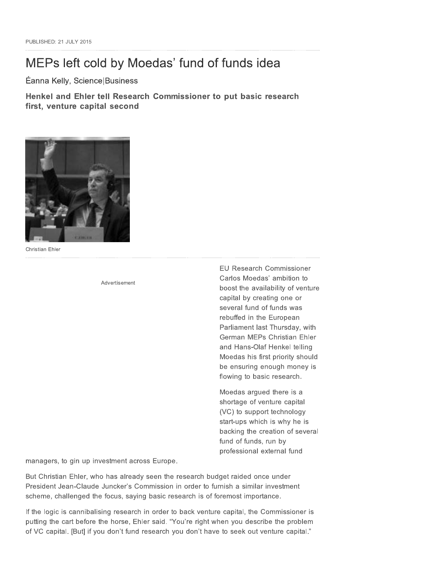# MEPs left cold by Moedas' fund of funds idea

Éanna Kelly, Science|Business

Henkel and Ehler tell Research Commissioner to put basic research first, venture capital second



Christian Ehler

Advertisement

**EU Research Commissioner** Carlos Moedas' ambition to boost the availability of venture capital by creating one or several fund of funds was rebuffed in the European Parliament last Thursday, with German MEPs Christian Ehler and Hans-Olaf Henkel telling Moedas his first priority should be ensuring enough money is flowing to basic research.

Moedas argued there is a shortage of venture capital (VC) to support technology start-ups which is why he is backing the creation of several fund of funds, run by professional external fund

managers, to gin up investment across Europe.

But Christian Ehler, who has already seen the research budget raided once under President Jean-Claude Juncker's Commission in order to furnish a similar investment scheme, challenged the focus, saying basic research is of foremost importance.

If the logic is cannibalising research in order to back venture capital, the Commissioner is putting the cart before the horse, Ehler said. "You're right when you describe the problem of VC capital. [But] if you don't fund research you don't have to seek out venture capital."